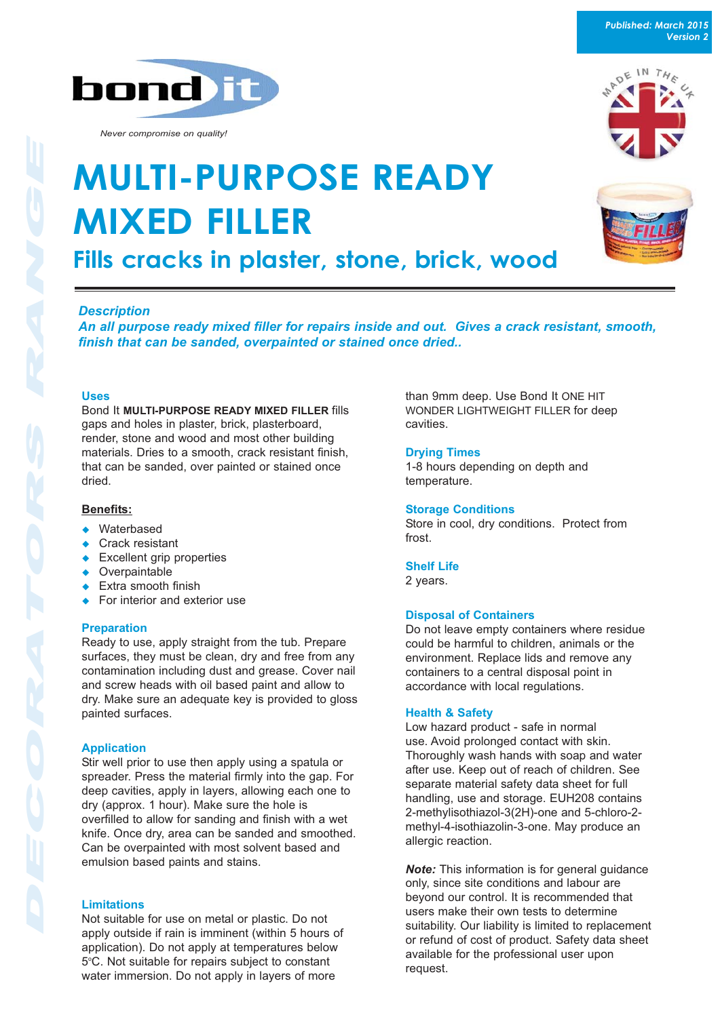*Published: March 2015 Version 2*







*Never compromise on quality!*

# **MULTI-PURPOSE READY MIXED FILLER Fills cracks in plaster, stone, brick, wood**

*Description*

*An all purpose ready mixed filler for repairs inside and out. Gives a crack resistant, smooth, finish that can be sanded, overpainted or stained once dried..*

#### **Uses**

Bond It **MULTI-PURPOSE READY MIXED FILLER** fills gaps and holes in plaster, brick, plasterboard, render, stone and wood and most other building materials. Dries to a smooth, crack resistant finish, that can be sanded, over painted or stained once dried.

#### **Benefits:**

- $\leftrightarrow$  Waterbased
- $\leftarrow$  Crack resistant
- $\leftarrow$  Excellent grip properties
- $\bullet$  Overpaintable
- $\leftarrow$  Extra smooth finish
- $\leftarrow$  For interior and exterior use

#### **Preparation**

Ready to use, apply straight from the tub. Prepare surfaces, they must be clean, dry and free from any contamination including dust and grease. Cover nail and screw heads with oil based paint and allow to dry. Make sure an adequate key is provided to gloss painted surfaces.

## **Application**

Stir well prior to use then apply using a spatula or spreader. Press the material firmly into the gap. For deep cavities, apply in layers, allowing each one to dry (approx. 1 hour). Make sure the hole is overfilled to allow for sanding and finish with a wet knife. Once dry, area can be sanded and smoothed. Can be overpainted with most solvent based and emulsion based paints and stains.

## **Limitations**

Not suitable for use on metal or plastic. Do not apply outside if rain is imminent (within 5 hours of application). Do not apply at temperatures below 5°C. Not suitable for repairs subject to constant water immersion. Do not apply in layers of more

than 9mm deep. Use Bond It ONE HIT WONDER LIGHTWEIGHT FILLER for deep cavities.

#### **Drying Times**

1-8 hours depending on depth and temperature.

#### **Storage Conditions**

Store in cool, dry conditions. Protect from frost.

#### **Shelf Life**

2 years.

#### **Disposal of Containers**

Do not leave empty containers where residue could be harmful to children, animals or the environment. Replace lids and remove any containers to a central disposal point in accordance with local regulations.

#### **Health & Safety**

Low hazard product - safe in normal use. Avoid prolonged contact with skin. Thoroughly wash hands with soap and water after use. Keep out of reach of children. See separate material safety data sheet for full handling, use and storage. EUH208 contains 2-methylisothiazol-3(2H)-one and 5-chloro-2 methyl-4-isothiazolin-3-one. May produce an allergic reaction.

*Note:* This information is for general guidance only, since site conditions and labour are beyond our control. It is recommended that users make their own tests to determine suitability. Our liability is limited to replacement or refund of cost of product. Safety data sheet available for the professional user upon request.